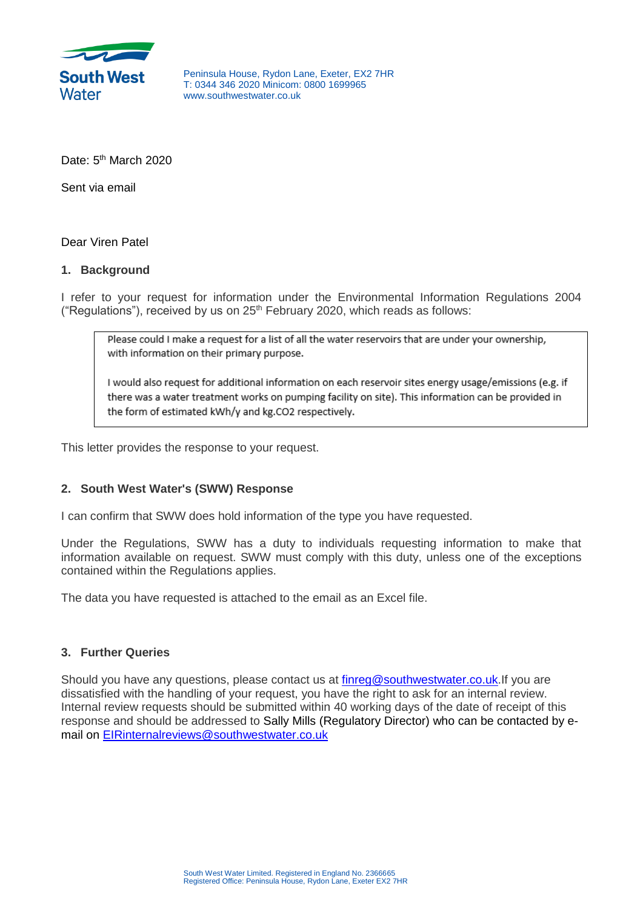

Peninsula House, Rydon Lane, Exeter, EX2 7HR T: 0344 346 2020 Minicom: 0800 1699965 www.southwestwater.co.uk

Date: 5<sup>th</sup> March 2020

Sent via email

Dear Viren Patel

## **1. Background**

I refer to your request for information under the Environmental Information Regulations 2004 ("Regulations"), received by us on  $25<sup>th</sup>$  February 2020, which reads as follows:

Please could I make a request for a list of all the water reservoirs that are under your ownership, with information on their primary purpose.

I would also request for additional information on each reservoir sites energy usage/emissions (e.g. if there was a water treatment works on pumping facility on site). This information can be provided in the form of estimated kWh/y and kg.CO2 respectively.

This letter provides the response to your request.

## **2. South West Water's (SWW) Response**

I can confirm that SWW does hold information of the type you have requested.

Under the Regulations, SWW has a duty to individuals requesting information to make that information available on request. SWW must comply with this duty, unless one of the exceptions contained within the Regulations applies.

The data you have requested is attached to the email as an Excel file.

## **3. Further Queries**

Should you have any questions, please contact us at [finreg@southwestwater.co.uk.](mailto:xxxxxx@xxxxxxxxxxxxxx.xx.xx)If you are dissatisfied with the handling of your request, you have the right to ask for an internal review. Internal review requests should be submitted within 40 working days of the date of receipt of this response and should be addressed to Sally Mills (Regulatory Director) who can be contacted by email on [EIRinternalreviews@southwestwater.co.uk](mailto:xxxxxxxxxxxxxxxxxx@xxxxxxxxxxxxxx.xx.xx)